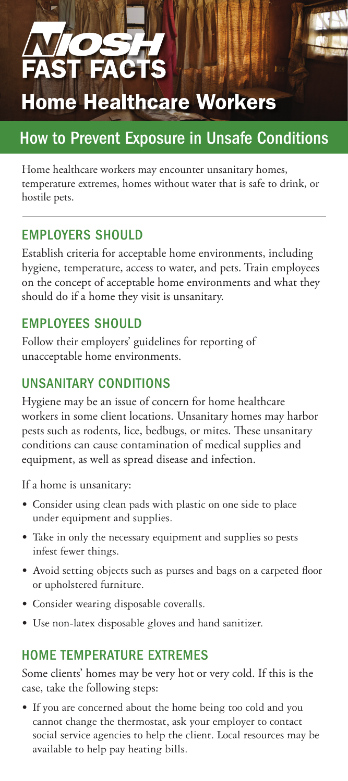# **Home Healthcare Workers**

## How to Prevent Exposure in Unsafe Conditions

Home healthcare workers may encounter unsanitary homes, temperature extremes, homes without water that is safe to drink, or hostile pets.

#### EMPLOYERS SHOULD

Establish criteria for acceptable home environments, including hygiene, temperature, access to water, and pets. Train employees on the concept of acceptable home environments and what they should do if a home they visit is unsanitary.

#### **EMPLOYEES SHOULD**

Follow their employers' guidelines for reporting of unacceptable home environments.

#### UNSANITARY CONDITIONS

Hygiene may be an issue of concern for home healthcare workers in some client locations. Unsanitary homes may harbor pests such as rodents, lice, bedbugs, or mites. These unsanitary conditions can cause contamination of medical supplies and equipment, as well as spread disease and infection.

If a home is unsanitary:

- Consider using clean pads with plastic on one side to place under equipment and supplies.
- Take in only the necessary equipment and supplies so pests infest fewer things.
- Avoid setting objects such as purses and bags on a carpeted floor or upholstered furniture.
- • Consider wearing disposable coveralls.
- • Use non-latex disposable gloves and hand sanitizer.

#### HOME TEMPERATURE EXTREMES

Some clients' homes may be very hot or very cold. If this is the case, take the following steps:

• If you are concerned about the home being too cold and you cannot change the thermostat, ask your employer to contact social service agencies to help the client. Local resources may be available to help pay heating bills.